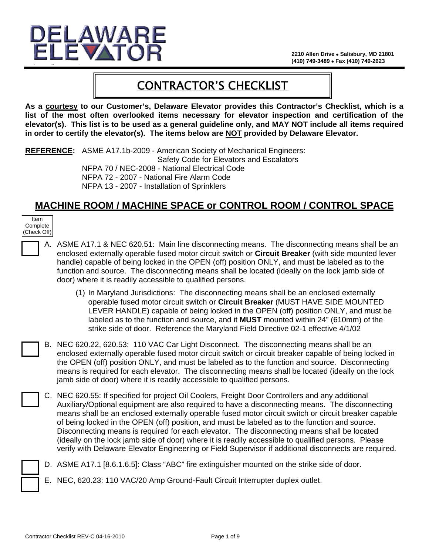

# CONTRACTOR'S CHECKLIST

**As a courtesy to our Customer's, Delaware Elevator provides this Contractor's Checklist, which is a list of the most often overlooked items necessary for elevator inspection and certification of the elevator(s). This list is to be used as a general guideline only, and MAY NOT include all items required in order to certify the elevator(s). The items below are NOT provided by Delaware Elevator.**

**REFERENCE:** ASME A17.1b-2009 - American Society of Mechanical Engineers: Safety Code for Elevators and Escalators NFPA 70 / NEC-2008 - National Electrical Code NFPA 72 - 2007 - National Fire Alarm Code

NFPA 13 - 2007 - Installation of Sprinklers

## **MACHINE ROOM / MACHINE SPACE or CONTROL ROOM / CONTROL SPACE**

| Item        |  |  |
|-------------|--|--|
| Complete    |  |  |
| (Check Off) |  |  |

- A. ASME A17.1 & NEC 620.51: Main line disconnecting means. The disconnecting means shall be an enclosed externally operable fused motor circuit switch or **Circuit Breaker** (with side mounted lever handle) capable of being locked in the OPEN (off) position ONLY, and must be labeled as to the function and source. The disconnecting means shall be located (ideally on the lock jamb side of door) where it is readily accessible to qualified persons.
	- (1) In Maryland Jurisdictions: The disconnecting means shall be an enclosed externally operable fused motor circuit switch or **Circuit Breaker** (MUST HAVE SIDE MOUNTED LEVER HANDLE) capable of being locked in the OPEN (off) position ONLY, and must be labeled as to the function and source, and it **MUST** mounted within 24" (610mm) of the strike side of door. Reference the Maryland Field Directive 02-1 effective 4/1/02
- B. NEC 620.22, 620.53: 110 VAC Car Light Disconnect. The disconnecting means shall be an enclosed externally operable fused motor circuit switch or circuit breaker capable of being locked in the OPEN (off) position ONLY, and must be labeled as to the function and source. Disconnecting means is required for each elevator. The disconnecting means shall be located (ideally on the lock jamb side of door) where it is readily accessible to qualified persons.
	- C. NEC 620.55: If specified for project Oil Coolers, Freight Door Controllers and any additional Auxiliary/Optional equipment are also required to have a disconnecting means. The disconnecting means shall be an enclosed externally operable fused motor circuit switch or circuit breaker capable of being locked in the OPEN (off) position, and must be labeled as to the function and source. Disconnecting means is required for each elevator. The disconnecting means shall be located (ideally on the lock jamb side of door) where it is readily accessible to qualified persons. Please verify with Delaware Elevator Engineering or Field Supervisor if additional disconnects are required.
		- D. ASME A17.1 [8.6.1.6.5]: Class "ABC" fire extinguisher mounted on the strike side of door.
		- E. NEC, 620.23: 110 VAC/20 Amp Ground-Fault Circuit Interrupter duplex outlet.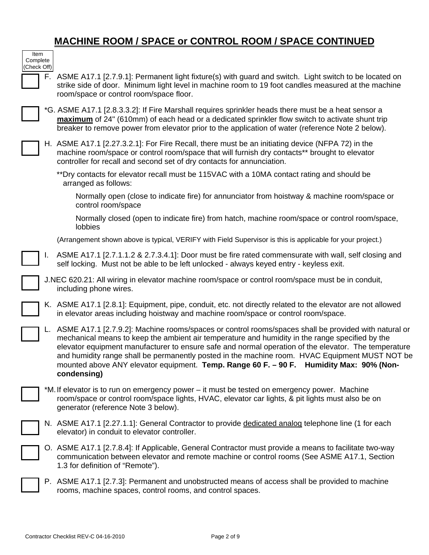## **MACHINE ROOM / SPACE or CONTROL ROOM / SPACE CONTINUED**

| Item<br>Complete<br>(Check Off) |    |                                                                                                                                                                                                                                                                                                                                                                                                                                                                                                                                |
|---------------------------------|----|--------------------------------------------------------------------------------------------------------------------------------------------------------------------------------------------------------------------------------------------------------------------------------------------------------------------------------------------------------------------------------------------------------------------------------------------------------------------------------------------------------------------------------|
|                                 |    | F. ASME A17.1 [2.7.9.1]: Permanent light fixture(s) with guard and switch. Light switch to be located on<br>strike side of door. Minimum light level in machine room to 19 foot candles measured at the machine<br>room/space or control room/space floor.                                                                                                                                                                                                                                                                     |
|                                 |    | *G. ASME A17.1 [2.8.3.3.2]: If Fire Marshall requires sprinkler heads there must be a heat sensor a<br>maximum of 24" (610mm) of each head or a dedicated sprinkler flow switch to activate shunt trip<br>breaker to remove power from elevator prior to the application of water (reference Note 2 below).                                                                                                                                                                                                                    |
|                                 |    | H. ASME A17.1 [2.27.3.2.1]: For Fire Recall, there must be an initiating device (NFPA 72) in the<br>machine room/space or control room/space that will furnish dry contacts** brought to elevator<br>controller for recall and second set of dry contacts for annunciation.                                                                                                                                                                                                                                                    |
|                                 |    | **Dry contacts for elevator recall must be 115VAC with a 10MA contact rating and should be<br>arranged as follows:                                                                                                                                                                                                                                                                                                                                                                                                             |
|                                 |    | Normally open (close to indicate fire) for annunciator from hoistway & machine room/space or<br>control room/space                                                                                                                                                                                                                                                                                                                                                                                                             |
|                                 |    | Normally closed (open to indicate fire) from hatch, machine room/space or control room/space,<br>lobbies                                                                                                                                                                                                                                                                                                                                                                                                                       |
|                                 |    | (Arrangement shown above is typical, VERIFY with Field Supervisor is this is applicable for your project.)                                                                                                                                                                                                                                                                                                                                                                                                                     |
|                                 | L. | ASME A17.1 [2.7.1.1.2 & 2.7.3.4.1]: Door must be fire rated commensurate with wall, self closing and<br>self locking. Must not be able to be left unlocked - always keyed entry - keyless exit.                                                                                                                                                                                                                                                                                                                                |
|                                 |    | J.NEC 620.21: All wiring in elevator machine room/space or control room/space must be in conduit,<br>including phone wires.                                                                                                                                                                                                                                                                                                                                                                                                    |
|                                 |    | K. ASME A17.1 [2.8.1]: Equipment, pipe, conduit, etc. not directly related to the elevator are not allowed<br>in elevator areas including hoistway and machine room/space or control room/space.                                                                                                                                                                                                                                                                                                                               |
|                                 |    | L. ASME A17.1 [2.7.9.2]: Machine rooms/spaces or control rooms/spaces shall be provided with natural or<br>mechanical means to keep the ambient air temperature and humidity in the range specified by the<br>elevator equipment manufacturer to ensure safe and normal operation of the elevator. The temperature<br>and humidity range shall be permanently posted in the machine room. HVAC Equipment MUST NOT be<br>mounted above ANY elevator equipment. Temp. Range 60 F. - 90 F. Humidity Max: 90% (Non-<br>condensing) |
|                                 |    | *M. If elevator is to run on emergency power – it must be tested on emergency power. Machine<br>room/space or control room/space lights, HVAC, elevator car lights, & pit lights must also be on<br>generator (reference Note 3 below).                                                                                                                                                                                                                                                                                        |
|                                 |    | N. ASME A17.1 [2.27.1.1]: General Contractor to provide dedicated analog telephone line (1 for each<br>elevator) in conduit to elevator controller.                                                                                                                                                                                                                                                                                                                                                                            |
|                                 |    | O. ASME A17.1 [2.7.8.4]: If Applicable, General Contractor must provide a means to facilitate two-way<br>communication between elevator and remote machine or control rooms (See ASME A17.1, Section<br>1.3 for definition of "Remote").                                                                                                                                                                                                                                                                                       |
|                                 |    | P. ASME A17.1 [2.7.3]: Permanent and unobstructed means of access shall be provided to machine<br>rooms, machine spaces, control rooms, and control spaces.                                                                                                                                                                                                                                                                                                                                                                    |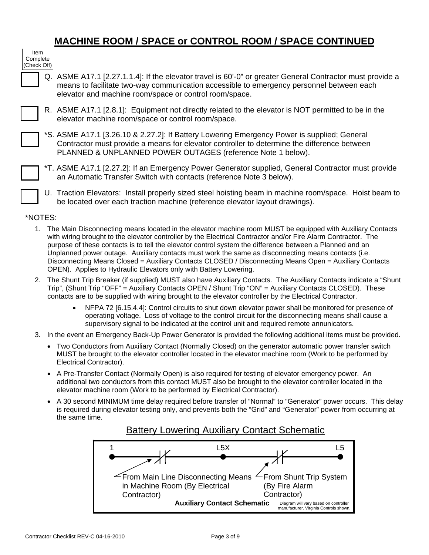## **MACHINE ROOM / SPACE or CONTROL ROOM / SPACE CONTINUED**

| Item                    |  |  |
|-------------------------|--|--|
| Complete<br>(Check Off) |  |  |
|                         |  |  |

Q. ASME A17.1 [2.27.1.1.4]: If the elevator travel is 60'-0" or greater General Contractor must provide a means to facilitate two-way communication accessible to emergency personnel between each elevator and machine room/space or control room/space.

R. ASME A17.1 [2.8.1]: Equipment not directly related to the elevator is NOT permitted to be in the elevator machine room/space or control room/space.

\*S. ASME A17.1 [3.26.10 & 2.27.2]: If Battery Lowering Emergency Power is supplied; General Contractor must provide a means for elevator controller to determine the difference between PLANNED & UNPLANNED POWER OUTAGES (reference Note 1 below).

- \*T. ASME A17.1 [2.27.2]: If an Emergency Power Generator supplied, General Contractor must provide an Automatic Transfer Switch with contacts (reference Note 3 below).
- U. Traction Elevators: Install properly sized steel hoisting beam in machine room/space. Hoist beam to be located over each traction machine (reference elevator layout drawings).

#### \*NOTES:

- 1. The Main Disconnecting means located in the elevator machine room MUST be equipped with Auxiliary Contacts with wiring brought to the elevator controller by the Electrical Contractor and/or Fire Alarm Contractor. The purpose of these contacts is to tell the elevator control system the difference between a Planned and an Unplanned power outage. Auxiliary contacts must work the same as disconnecting means contacts (i.e. Disconnecting Means Closed = Auxiliary Contacts CLOSED / Disconnecting Means Open = Auxiliary Contacts OPEN). Applies to Hydraulic Elevators only with Battery Lowering.
- 2. The Shunt Trip Breaker (if supplied) MUST also have Auxiliary Contacts. The Auxiliary Contacts indicate a "Shunt Trip", (Shunt Trip "OFF" = Auxiliary Contacts OPEN / Shunt Trip "ON" = Auxiliary Contacts CLOSED). These contacts are to be supplied with wiring brought to the elevator controller by the Electrical Contractor.
	- NFPA 72 [6.15.4.4]: Control circuits to shut down elevator power shall be monitored for presence of operating voltage. Loss of voltage to the control circuit for the disconnecting means shall cause a supervisory signal to be indicated at the control unit and required remote annunicators.
- 3. In the event an Emergency Back-Up Power Generator is provided the following additional items must be provided.
	- Two Conductors from Auxiliary Contact (Normally Closed) on the generator automatic power transfer switch MUST be brought to the elevator controller located in the elevator machine room (Work to be performed by Electrical Contractor).
	- A Pre-Transfer Contact (Normally Open) is also required for testing of elevator emergency power. An additional two conductors from this contact MUST also be brought to the elevator controller located in the elevator machine room (Work to be performed by Electrical Contractor).
	- A 30 second MINIMUM time delay required before transfer of "Normal" to "Generator" power occurs. This delay is required during elevator testing only, and prevents both the "Grid" and "Generator" power from occurring at the same time.

### Battery Lowering Auxiliary Contact Schematic

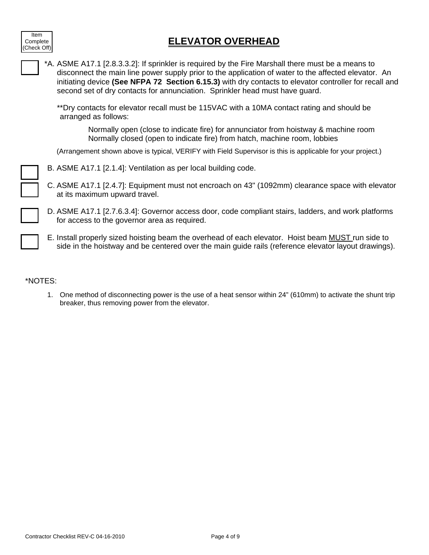

|  | *A. ASME A17.1 [2.8.3.3.2]: If sprinkler is required by the Fire Marshall there must be a means to<br>disconnect the main line power supply prior to the application of water to the affected elevator. An<br>initiating device (See NFPA 72 Section 6.15.3) with dry contacts to elevator controller for recall and<br>second set of dry contacts for annunciation. Sprinkler head must have guard. |
|--|------------------------------------------------------------------------------------------------------------------------------------------------------------------------------------------------------------------------------------------------------------------------------------------------------------------------------------------------------------------------------------------------------|
|  | **Dry contacts for elevator recall must be 115VAC with a 10MA contact rating and should be<br>arranged as follows:                                                                                                                                                                                                                                                                                   |
|  | Normally open (close to indicate fire) for annunciator from hoistway & machine room<br>Normally closed (open to indicate fire) from hatch, machine room, lobbies                                                                                                                                                                                                                                     |
|  | (Arrangement shown above is typical, VERIFY with Field Supervisor is this is applicable for your project.)                                                                                                                                                                                                                                                                                           |
|  | B. ASME A17.1 [2.1.4]: Ventilation as per local building code.                                                                                                                                                                                                                                                                                                                                       |
|  | C. ASME A17.1 [2.4.7]: Equipment must not encroach on 43" (1092mm) clearance space with elevator<br>at its maximum upward travel.                                                                                                                                                                                                                                                                    |
|  | D. ASME A17.1 [2.7.6.3.4]: Governor access door, code compliant stairs, ladders, and work platforms<br>for access to the governor area as required.                                                                                                                                                                                                                                                  |
|  | E. Install properly sized hoisting beam the overhead of each elevator. Hoist beam MUST run side to<br>side in the hoistway and be centered over the main guide rails (reference elevator layout drawings).                                                                                                                                                                                           |

### \*NOTES:

Item Complete (Check Off)

> 1. One method of disconnecting power is the use of a heat sensor within 24" (610mm) to activate the shunt trip breaker, thus removing power from the elevator.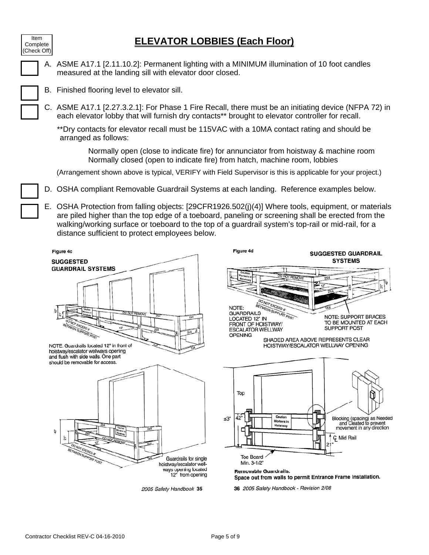## **ELEVATOR LOBBIES (Each Floor)**

| ltem<br>Complete<br>(Check Off) |  |  |
|---------------------------------|--|--|
|                                 |  |  |
|                                 |  |  |

A. ASME A17.1 [2.11.10.2]: Permanent lighting with a MINIMUM illumination of 10 foot candles measured at the landing sill with elevator door closed.

- B. Finished flooring level to elevator sill.
- C. ASME A17.1 [2.27.3.2.1]: For Phase 1 Fire Recall, there must be an initiating device (NFPA 72) in each elevator lobby that will furnish dry contacts\*\* brought to elevator controller for recall.

\*\*Dry contacts for elevator recall must be 115VAC with a 10MA contact rating and should be arranged as follows:

Normally open (close to indicate fire) for annunciator from hoistway & machine room Normally closed (open to indicate fire) from hatch, machine room, lobbies

(Arrangement shown above is typical, VERIFY with Field Supervisor is this is applicable for your project.)

- D. OSHA compliant Removable Guardrail Systems at each landing. Reference examples below.
- E. OSHA Protection from falling objects: [29CFR1926.502(j)(4)] Where tools, equipment, or materials are piled higher than the top edge of a toeboard, paneling or screening shall be erected from the walking/working surface or toeboard to the top of a guardrail system's top-rail or mid-rail, for a distance sufficient to protect employees below.

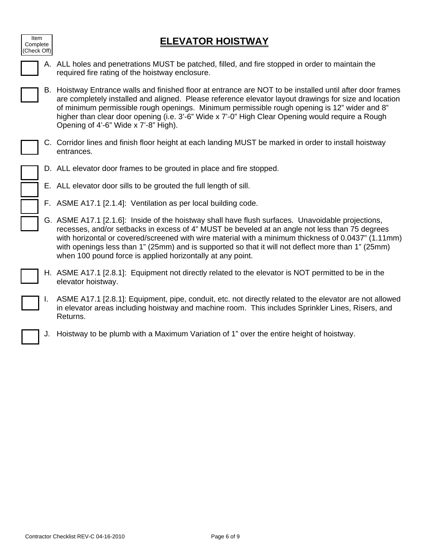## **ELEVATOR HOISTWAY**

| Item<br>Complete<br>(Check Off) |  |  |  |
|---------------------------------|--|--|--|
|                                 |  |  |  |
|                                 |  |  |  |

- A. ALL holes and penetrations MUST be patched, filled, and fire stopped in order to maintain the required fire rating of the hoistway enclosure.
- B. Hoistway Entrance walls and finished floor at entrance are NOT to be installed until after door frames are completely installed and aligned. Please reference elevator layout drawings for size and location of minimum permissible rough openings. Minimum permissible rough opening is 12" wider and 8" higher than clear door opening (i.e. 3'-6" Wide x 7'-0" High Clear Opening would require a Rough Opening of 4'-6" Wide x 7'-8" High).
- C. Corridor lines and finish floor height at each landing MUST be marked in order to install hoistway entrances.
	- D. ALL elevator door frames to be grouted in place and fire stopped.
	- E. ALL elevator door sills to be grouted the full length of sill.
	- F. ASME A17.1 [2.1.4]: Ventilation as per local building code.
	- G. ASME A17.1 [2.1.6]: Inside of the hoistway shall have flush surfaces. Unavoidable projections, recesses, and/or setbacks in excess of 4" MUST be beveled at an angle not less than 75 degrees with horizontal or covered/screened with wire material with a minimum thickness of 0.0437" (1.11mm) with openings less than 1" (25mm) and is supported so that it will not deflect more than 1" (25mm) when 100 pound force is applied horizontally at any point.
- H. ASME A17.1 [2.8.1]: Equipment not directly related to the elevator is NOT permitted to be in the elevator hoistway.
- ASME A17.1 [2.8.1]: Equipment, pipe, conduit, etc. not directly related to the elevator are not allowed in elevator areas including hoistway and machine room. This includes Sprinkler Lines, Risers, and Returns.
	- J. Hoistway to be plumb with a Maximum Variation of 1" over the entire height of hoistway.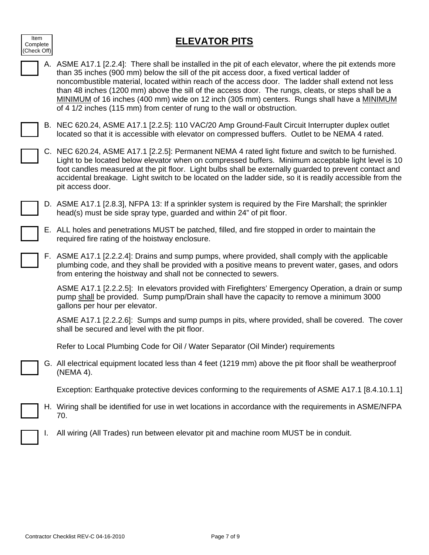| Item<br>Complete<br>(Check Off) |  |  |  |
|---------------------------------|--|--|--|
|                                 |  |  |  |
|                                 |  |  |  |

## **ELEVATOR PITS**

|    | A. ASME A17.1 [2.2.4]: There shall be installed in the pit of each elevator, where the pit extends more<br>than 35 inches (900 mm) below the sill of the pit access door, a fixed vertical ladder of<br>noncombustible material, located within reach of the access door. The ladder shall extend not less<br>than 48 inches (1200 mm) above the sill of the access door. The rungs, cleats, or steps shall be a<br>MINIMUM of 16 inches (400 mm) wide on 12 inch (305 mm) centers. Rungs shall have a MINIMUM<br>of 4 1/2 inches (115 mm) from center of rung to the wall or obstruction. |
|----|--------------------------------------------------------------------------------------------------------------------------------------------------------------------------------------------------------------------------------------------------------------------------------------------------------------------------------------------------------------------------------------------------------------------------------------------------------------------------------------------------------------------------------------------------------------------------------------------|
|    | B. NEC 620.24, ASME A17.1 [2.2.5]: 110 VAC/20 Amp Ground-Fault Circuit Interrupter duplex outlet<br>located so that it is accessible with elevator on compressed buffers. Outlet to be NEMA 4 rated.                                                                                                                                                                                                                                                                                                                                                                                       |
|    | C. NEC 620.24, ASME A17.1 [2.2.5]: Permanent NEMA 4 rated light fixture and switch to be furnished.<br>Light to be located below elevator when on compressed buffers. Minimum acceptable light level is 10<br>foot candles measured at the pit floor. Light bulbs shall be externally guarded to prevent contact and<br>accidental breakage. Light switch to be located on the ladder side, so it is readily accessible from the<br>pit access door.                                                                                                                                       |
|    | D. ASME A17.1 [2.8.3], NFPA 13: If a sprinkler system is required by the Fire Marshall; the sprinkler<br>head(s) must be side spray type, guarded and within 24" of pit floor.                                                                                                                                                                                                                                                                                                                                                                                                             |
|    | E. ALL holes and penetrations MUST be patched, filled, and fire stopped in order to maintain the<br>required fire rating of the hoistway enclosure.                                                                                                                                                                                                                                                                                                                                                                                                                                        |
|    | F. ASME A17.1 [2.2.2.4]: Drains and sump pumps, where provided, shall comply with the applicable<br>plumbing code, and they shall be provided with a positive means to prevent water, gases, and odors<br>from entering the hoistway and shall not be connected to sewers.                                                                                                                                                                                                                                                                                                                 |
|    | ASME A17.1 [2.2.2.5]: In elevators provided with Firefighters' Emergency Operation, a drain or sump<br>pump shall be provided. Sump pump/Drain shall have the capacity to remove a minimum 3000<br>gallons per hour per elevator.                                                                                                                                                                                                                                                                                                                                                          |
|    | ASME A17.1 [2.2.2.6]: Sumps and sump pumps in pits, where provided, shall be covered. The cover<br>shall be secured and level with the pit floor.                                                                                                                                                                                                                                                                                                                                                                                                                                          |
|    | Refer to Local Plumbing Code for Oil / Water Separator (Oil Minder) requirements                                                                                                                                                                                                                                                                                                                                                                                                                                                                                                           |
|    | G. All electrical equipment located less than 4 feet (1219 mm) above the pit floor shall be weatherproof<br>(NEMA 4).                                                                                                                                                                                                                                                                                                                                                                                                                                                                      |
|    | Exception: Earthquake protective devices conforming to the requirements of ASME A17.1 [8.4.10.1.1]                                                                                                                                                                                                                                                                                                                                                                                                                                                                                         |
|    | H. Wiring shall be identified for use in wet locations in accordance with the requirements in ASME/NFPA<br>70.                                                                                                                                                                                                                                                                                                                                                                                                                                                                             |
| ı. | All wiring (All Trades) run between elevator pit and machine room MUST be in conduit.                                                                                                                                                                                                                                                                                                                                                                                                                                                                                                      |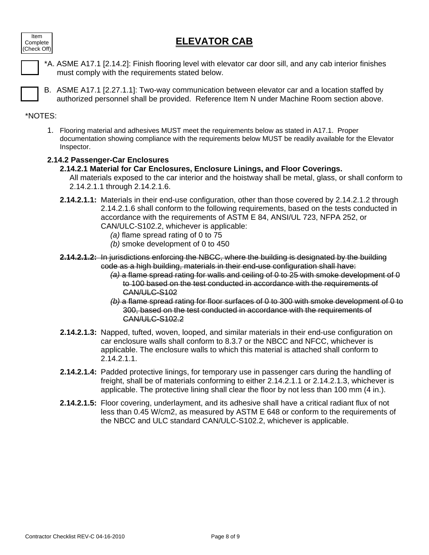## **ELEVATOR CAB**



- \*A. ASME A17.1 [2.14.2]: Finish flooring level with elevator car door sill, and any cab interior finishes must comply with the requirements stated below.
- B. ASME A17.1 [2.27.1.1]: Two-way communication between elevator car and a location staffed by authorized personnel shall be provided. Reference Item N under Machine Room section above.

### \*NOTES:

1. Flooring material and adhesives MUST meet the requirements below as stated in A17.1. Proper documentation showing compliance with the requirements below MUST be readily available for the Elevator Inspector.

### **2.14.2 Passenger-Car Enclosures**

### **2.14.2.1 Material for Car Enclosures, Enclosure Linings, and Floor Coverings.**

All materials exposed to the car interior and the hoistway shall be metal, glass, or shall conform to 2.14.2.1.1 through 2.14.2.1.6.

- **2.14.2.1.1:** Materials in their end-use configuration, other than those covered by 2.14.2.1.2 through 2.14.2.1.6 shall conform to the following requirements, based on the tests conducted in accordance with the requirements of ASTM E 84, ANSI/UL 723, NFPA 252, or CAN/ULC-S102.2, whichever is applicable:
	- *(a)* flame spread rating of 0 to 75
	- *(b)* smoke development of 0 to 450
- **2.14.2.1.2:** In jurisdictions enforcing the NBCC, where the building is designated by the building code as a high building, materials in their end-use configuration shall have:
	- *(a)* a flame spread rating for walls and ceiling of 0 to 25 with smoke development of 0 to 100 based on the test conducted in accordance with the requirements of CAN/ULC-S102
	- *(b)* a flame spread rating for floor surfaces of 0 to 300 with smoke development of 0 to 300, based on the test conducted in accordance with the requirements of CAN/ULC-S102.2
- **2.14.2.1.3:** Napped, tufted, woven, looped, and similar materials in their end-use configuration on car enclosure walls shall conform to 8.3.7 or the NBCC and NFCC, whichever is applicable. The enclosure walls to which this material is attached shall conform to 2.14.2.1.1.
- **2.14.2.1.4:** Padded protective linings, for temporary use in passenger cars during the handling of freight, shall be of materials conforming to either 2.14.2.1.1 or 2.14.2.1.3, whichever is applicable. The protective lining shall clear the floor by not less than 100 mm (4 in.).
- **2.14.2.1.5:** Floor covering, underlayment, and its adhesive shall have a critical radiant flux of not less than 0.45 W/cm2, as measured by ASTM E 648 or conform to the requirements of the NBCC and ULC standard CAN/ULC-S102.2, whichever is applicable.